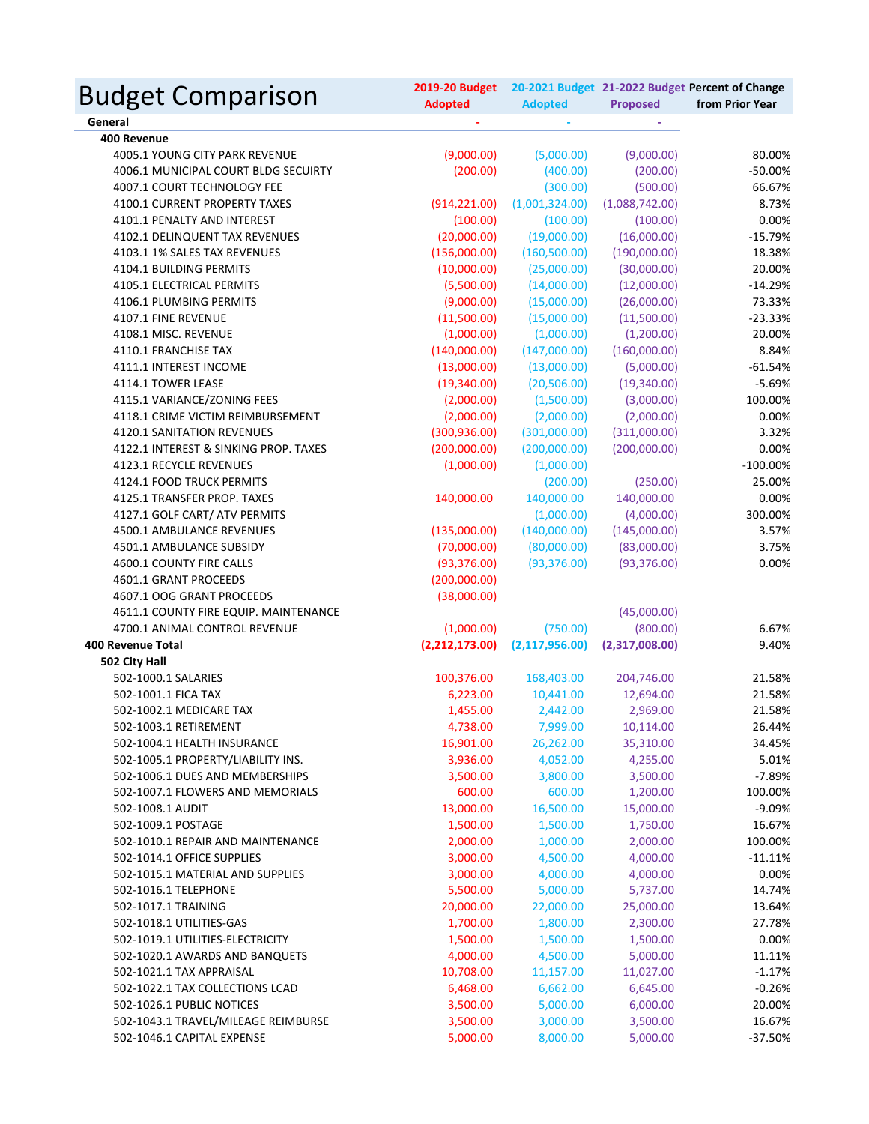| <b>Budget Comparison</b>              | 2019-20 Budget<br><b>Adopted</b> | <b>Adopted</b>   | <b>Proposed</b> | 20-2021 Budget 21-2022 Budget Percent of Change<br>from Prior Year |
|---------------------------------------|----------------------------------|------------------|-----------------|--------------------------------------------------------------------|
| General                               |                                  |                  |                 |                                                                    |
| 400 Revenue                           |                                  |                  |                 |                                                                    |
| 4005.1 YOUNG CITY PARK REVENUE        | (9,000.00)                       | (5,000.00)       | (9,000.00)      | 80.00%                                                             |
| 4006.1 MUNICIPAL COURT BLDG SECUIRTY  | (200.00)                         | (400.00)         | (200.00)        | $-50.00%$                                                          |
| 4007.1 COURT TECHNOLOGY FEE           |                                  | (300.00)         | (500.00)        | 66.67%                                                             |
| 4100.1 CURRENT PROPERTY TAXES         | (914, 221.00)                    | (1,001,324.00)   | (1,088,742.00)  | 8.73%                                                              |
| 4101.1 PENALTY AND INTEREST           | (100.00)                         | (100.00)         | (100.00)        | 0.00%                                                              |
| 4102.1 DELINQUENT TAX REVENUES        | (20,000.00)                      | (19,000.00)      | (16,000.00)     | $-15.79%$                                                          |
| 4103.1 1% SALES TAX REVENUES          | (156,000.00)                     | (160, 500.00)    | (190,000.00)    | 18.38%                                                             |
| 4104.1 BUILDING PERMITS               | (10,000.00)                      | (25,000.00)      | (30,000.00)     | 20.00%                                                             |
| 4105.1 ELECTRICAL PERMITS             | (5,500.00)                       | (14,000.00)      | (12,000.00)     | $-14.29%$                                                          |
| 4106.1 PLUMBING PERMITS               | (9,000.00)                       | (15,000.00)      | (26,000.00)     | 73.33%                                                             |
| 4107.1 FINE REVENUE                   | (11,500.00)                      | (15,000.00)      | (11,500.00)     | $-23.33%$                                                          |
| 4108.1 MISC. REVENUE                  | (1,000.00)                       | (1,000.00)       | (1,200.00)      | 20.00%                                                             |
| 4110.1 FRANCHISE TAX                  | (140,000.00)                     | (147,000.00)     | (160,000.00)    | 8.84%                                                              |
| 4111.1 INTEREST INCOME                | (13,000.00)                      | (13,000.00)      | (5,000.00)      | $-61.54%$                                                          |
| 4114.1 TOWER LEASE                    | (19,340.00)                      | (20,506.00)      | (19,340.00)     | $-5.69%$                                                           |
| 4115.1 VARIANCE/ZONING FEES           | (2,000.00)                       | (1,500.00)       | (3,000.00)      | 100.00%                                                            |
| 4118.1 CRIME VICTIM REIMBURSEMENT     | (2,000.00)                       | (2,000.00)       | (2,000.00)      | 0.00%                                                              |
| 4120.1 SANITATION REVENUES            | (300, 936.00)                    | (301,000.00)     | (311,000.00)    | 3.32%                                                              |
| 4122.1 INTEREST & SINKING PROP. TAXES | (200,000.00)                     | (200,000.00)     | (200,000.00)    | 0.00%                                                              |
| 4123.1 RECYCLE REVENUES               | (1,000.00)                       | (1,000.00)       |                 | $-100.00%$                                                         |
| 4124.1 FOOD TRUCK PERMITS             |                                  | (200.00)         | (250.00)        | 25.00%                                                             |
| 4125.1 TRANSFER PROP. TAXES           | 140,000.00                       | 140,000.00       | 140,000.00      | 0.00%                                                              |
| 4127.1 GOLF CART/ ATV PERMITS         |                                  | (1,000.00)       | (4,000.00)      | 300.00%                                                            |
| 4500.1 AMBULANCE REVENUES             | (135,000.00)                     | (140,000.00)     | (145,000.00)    | 3.57%                                                              |
| 4501.1 AMBULANCE SUBSIDY              | (70,000.00)                      | (80,000.00)      | (83,000.00)     | 3.75%                                                              |
| 4600.1 COUNTY FIRE CALLS              | (93, 376.00)                     | (93, 376.00)     | (93, 376.00)    | 0.00%                                                              |
| 4601.1 GRANT PROCEEDS                 | (200,000.00)                     |                  |                 |                                                                    |
| 4607.1 OOG GRANT PROCEEDS             | (38,000.00)                      |                  |                 |                                                                    |
| 4611.1 COUNTY FIRE EQUIP. MAINTENANCE |                                  |                  | (45,000.00)     |                                                                    |
| 4700.1 ANIMAL CONTROL REVENUE         | (1,000.00)                       | (750.00)         | (800.00)        | 6.67%                                                              |
| <b>400 Revenue Total</b>              | (2,212,173.00)                   | (2, 117, 956.00) | (2,317,008.00)  | 9.40%                                                              |
| 502 City Hall                         |                                  |                  |                 |                                                                    |
| 502-1000.1 SALARIES                   | 100,376.00                       | 168,403.00       | 204,746.00      | 21.58%                                                             |
| 502-1001.1 FICA TAX                   | 6,223.00                         | 10,441.00        | 12,694.00       | 21.58%                                                             |
| 502-1002.1 MEDICARE TAX               | 1,455.00                         | 2,442.00         | 2,969.00        | 21.58%                                                             |
| 502-1003.1 RETIREMENT                 | 4,738.00                         | 7,999.00         | 10,114.00       | 26.44%                                                             |
| 502-1004.1 HEALTH INSURANCE           | 16,901.00                        | 26,262.00        | 35,310.00       | 34.45%                                                             |
| 502-1005.1 PROPERTY/LIABILITY INS.    | 3,936.00                         | 4,052.00         | 4,255.00        | 5.01%                                                              |
| 502-1006.1 DUES AND MEMBERSHIPS       | 3,500.00                         | 3,800.00         | 3,500.00        | $-7.89%$                                                           |
| 502-1007.1 FLOWERS AND MEMORIALS      | 600.00                           | 600.00           | 1,200.00        | 100.00%                                                            |
| 502-1008.1 AUDIT                      | 13,000.00                        | 16,500.00        | 15,000.00       | $-9.09%$                                                           |
| 502-1009.1 POSTAGE                    | 1,500.00                         | 1,500.00         | 1,750.00        | 16.67%                                                             |
| 502-1010.1 REPAIR AND MAINTENANCE     | 2,000.00                         | 1,000.00         | 2,000.00        | 100.00%                                                            |
| 502-1014.1 OFFICE SUPPLIES            | 3,000.00                         | 4,500.00         | 4,000.00        | $-11.11%$                                                          |
| 502-1015.1 MATERIAL AND SUPPLIES      | 3,000.00                         | 4,000.00         | 4,000.00        | 0.00%                                                              |
| 502-1016.1 TELEPHONE                  | 5,500.00                         | 5,000.00         | 5,737.00        | 14.74%                                                             |
| 502-1017.1 TRAINING                   | 20,000.00                        | 22,000.00        | 25,000.00       | 13.64%                                                             |
| 502-1018.1 UTILITIES-GAS              | 1,700.00                         | 1,800.00         | 2,300.00        | 27.78%                                                             |
| 502-1019.1 UTILITIES-ELECTRICITY      | 1,500.00                         | 1,500.00         | 1,500.00        | 0.00%                                                              |
| 502-1020.1 AWARDS AND BANQUETS        | 4,000.00                         | 4,500.00         | 5,000.00        |                                                                    |
| 502-1021.1 TAX APPRAISAL              |                                  |                  |                 | 11.11%                                                             |
|                                       | 10,708.00                        | 11,157.00        | 11,027.00       | $-1.17%$                                                           |
| 502-1022.1 TAX COLLECTIONS LCAD       | 6,468.00                         | 6,662.00         | 6,645.00        | $-0.26%$                                                           |
| 502-1026.1 PUBLIC NOTICES             | 3,500.00                         | 5,000.00         | 6,000.00        | 20.00%                                                             |
| 502-1043.1 TRAVEL/MILEAGE REIMBURSE   | 3,500.00                         | 3,000.00         | 3,500.00        | 16.67%                                                             |
| 502-1046.1 CAPITAL EXPENSE            | 5,000.00                         | 8,000.00         | 5,000.00        | $-37.50%$                                                          |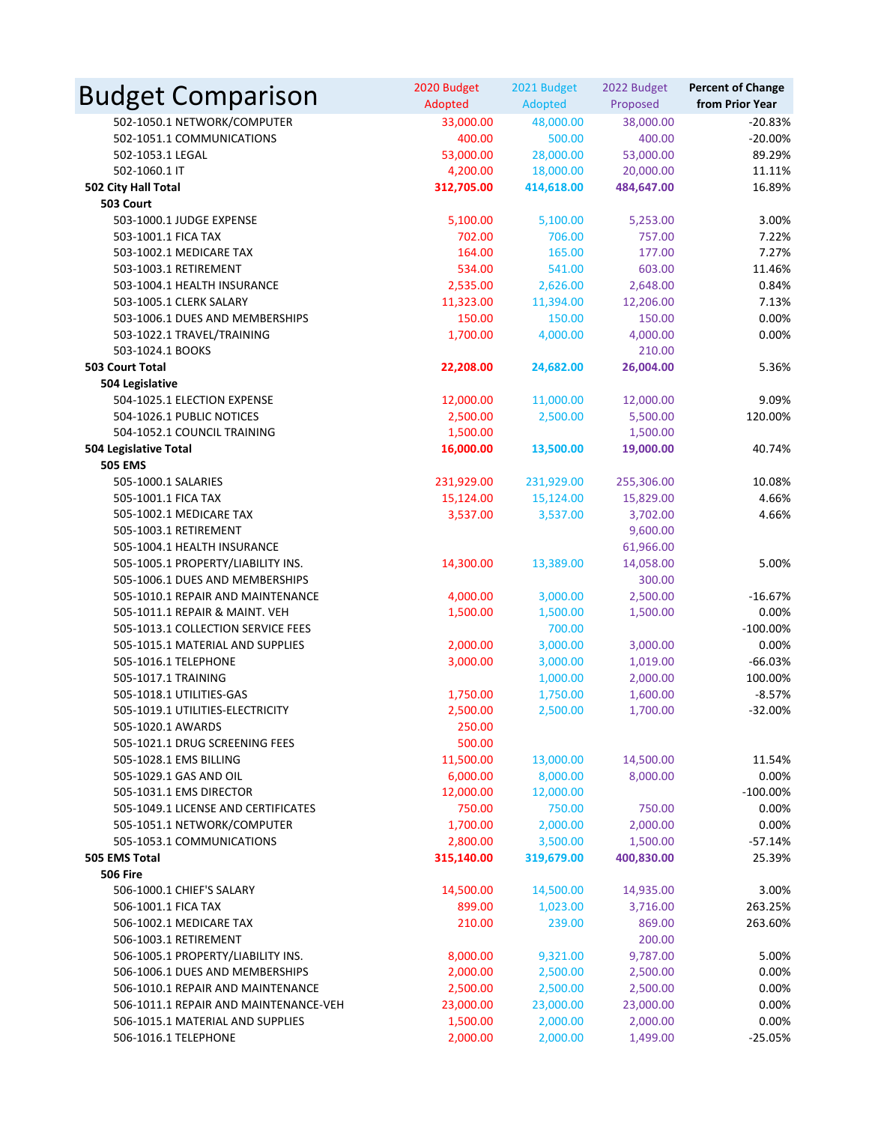| <b>Budget Comparison</b>                                 | 2020 Budget<br>Adopted | 2021 Budget<br>Adopted | 2022 Budget<br>Proposed | <b>Percent of Change</b><br>from Prior Year |
|----------------------------------------------------------|------------------------|------------------------|-------------------------|---------------------------------------------|
| 502-1050.1 NETWORK/COMPUTER                              | 33,000.00              | 48,000.00              | 38,000.00               | $-20.83%$                                   |
| 502-1051.1 COMMUNICATIONS                                | 400.00                 | 500.00                 | 400.00                  | $-20.00%$                                   |
| 502-1053.1 LEGAL                                         | 53,000.00              | 28,000.00              | 53,000.00               | 89.29%                                      |
| 502-1060.1 IT                                            | 4,200.00               | 18,000.00              | 20,000.00               | 11.11%                                      |
| 502 City Hall Total                                      | 312,705.00             | 414,618.00             | 484,647.00              | 16.89%                                      |
| 503 Court                                                |                        |                        |                         |                                             |
| 503-1000.1 JUDGE EXPENSE                                 | 5,100.00               | 5,100.00               | 5,253.00                | 3.00%                                       |
| 503-1001.1 FICA TAX                                      | 702.00                 | 706.00                 | 757.00                  | 7.22%                                       |
| 503-1002.1 MEDICARE TAX                                  | 164.00                 | 165.00                 | 177.00                  | 7.27%                                       |
| 503-1003.1 RETIREMENT                                    | 534.00                 | 541.00                 | 603.00                  | 11.46%                                      |
| 503-1004.1 HEALTH INSURANCE                              | 2,535.00               | 2,626.00               | 2,648.00                | 0.84%                                       |
| 503-1005.1 CLERK SALARY                                  | 11,323.00              | 11,394.00              | 12,206.00               | 7.13%                                       |
| 503-1006.1 DUES AND MEMBERSHIPS                          | 150.00                 | 150.00                 | 150.00                  | 0.00%                                       |
| 503-1022.1 TRAVEL/TRAINING                               | 1,700.00               | 4,000.00               | 4,000.00                | 0.00%                                       |
| 503-1024.1 BOOKS                                         |                        |                        | 210.00                  |                                             |
| 503 Court Total                                          | 22,208.00              | 24,682.00              | 26,004.00               | 5.36%                                       |
| 504 Legislative                                          |                        |                        |                         |                                             |
| 504-1025.1 ELECTION EXPENSE                              | 12,000.00              | 11,000.00              | 12,000.00               | 9.09%                                       |
| 504-1026.1 PUBLIC NOTICES                                | 2,500.00               | 2,500.00               | 5,500.00                | 120.00%                                     |
| 504-1052.1 COUNCIL TRAINING                              | 1,500.00               |                        | 1,500.00                |                                             |
| 504 Legislative Total                                    | 16,000.00              | 13,500.00              | 19,000.00               | 40.74%                                      |
| <b>505 EMS</b>                                           |                        |                        |                         |                                             |
| 505-1000.1 SALARIES                                      | 231,929.00             | 231,929.00             | 255,306.00              | 10.08%                                      |
| 505-1001.1 FICA TAX                                      | 15,124.00              | 15,124.00              | 15,829.00               | 4.66%                                       |
| 505-1002.1 MEDICARE TAX                                  | 3,537.00               | 3,537.00               | 3,702.00                | 4.66%                                       |
| 505-1003.1 RETIREMENT                                    |                        |                        | 9,600.00                |                                             |
| 505-1004.1 HEALTH INSURANCE                              |                        |                        | 61,966.00               |                                             |
| 505-1005.1 PROPERTY/LIABILITY INS.                       | 14,300.00              | 13,389.00              | 14,058.00               | 5.00%                                       |
| 505-1006.1 DUES AND MEMBERSHIPS                          |                        |                        | 300.00                  |                                             |
| 505-1010.1 REPAIR AND MAINTENANCE                        | 4,000.00               | 3,000.00               | 2,500.00                | $-16.67%$                                   |
| 505-1011.1 REPAIR & MAINT. VEH                           | 1,500.00               | 1,500.00               | 1,500.00                | 0.00%                                       |
| 505-1013.1 COLLECTION SERVICE FEES                       |                        | 700.00                 |                         | $-100.00\%$                                 |
| 505-1015.1 MATERIAL AND SUPPLIES                         | 2,000.00               | 3,000.00               | 3,000.00                | 0.00%                                       |
| 505-1016.1 TELEPHONE                                     | 3,000.00               | 3,000.00               | 1,019.00                | $-66.03%$                                   |
| 505-1017.1 TRAINING                                      |                        | 1,000.00               | 2,000.00                | 100.00%                                     |
| 505-1018.1 UTILITIES-GAS                                 | 1,750.00               | 1,750.00               | 1,600.00                | $-8.57%$                                    |
| 505-1019.1 UTILITIES-ELECTRICITY                         | 2,500.00               | 2,500.00               | 1,700.00                | $-32.00%$                                   |
| 505-1020.1 AWARDS                                        | 250.00                 |                        |                         |                                             |
| 505-1021.1 DRUG SCREENING FEES                           | 500.00                 |                        |                         |                                             |
| 505-1028.1 EMS BILLING                                   | 11,500.00              | 13,000.00              | 14,500.00               | 11.54%                                      |
| 505-1029.1 GAS AND OIL                                   | 6,000.00               | 8,000.00               | 8,000.00                | 0.00%                                       |
| 505-1031.1 EMS DIRECTOR                                  | 12,000.00              | 12,000.00              |                         | $-100.00\%$                                 |
| 505-1049.1 LICENSE AND CERTIFICATES                      | 750.00                 | 750.00                 | 750.00                  | 0.00%                                       |
| 505-1051.1 NETWORK/COMPUTER                              | 1,700.00               | 2,000.00               | 2,000.00                | 0.00%                                       |
| 505-1053.1 COMMUNICATIONS                                | 2,800.00               | 3,500.00               | 1,500.00                | $-57.14%$                                   |
| <b>505 EMS Total</b>                                     | 315,140.00             | 319,679.00             | 400,830.00              | 25.39%                                      |
| <b>506 Fire</b>                                          |                        |                        |                         |                                             |
| 506-1000.1 CHIEF'S SALARY                                | 14,500.00              | 14,500.00              | 14,935.00               | 3.00%                                       |
| 506-1001.1 FICA TAX                                      | 899.00                 | 1,023.00               | 3,716.00                | 263.25%                                     |
| 506-1002.1 MEDICARE TAX                                  | 210.00                 | 239.00                 | 869.00                  | 263.60%                                     |
| 506-1003.1 RETIREMENT                                    |                        |                        | 200.00                  |                                             |
| 506-1005.1 PROPERTY/LIABILITY INS.                       | 8,000.00               | 9,321.00               | 9,787.00                | 5.00%                                       |
| 506-1006.1 DUES AND MEMBERSHIPS                          | 2,000.00               | 2,500.00               | 2,500.00                | 0.00%                                       |
| 506-1010.1 REPAIR AND MAINTENANCE                        | 2,500.00               | 2,500.00               | 2,500.00                | 0.00%                                       |
| 506-1011.1 REPAIR AND MAINTENANCE-VEH                    | 23,000.00              | 23,000.00              | 23,000.00               | 0.00%                                       |
| 506-1015.1 MATERIAL AND SUPPLIES<br>506-1016.1 TELEPHONE | 1,500.00               | 2,000.00               | 2,000.00<br>1,499.00    | 0.00%<br>$-25.05%$                          |
|                                                          | 2,000.00               | 2,000.00               |                         |                                             |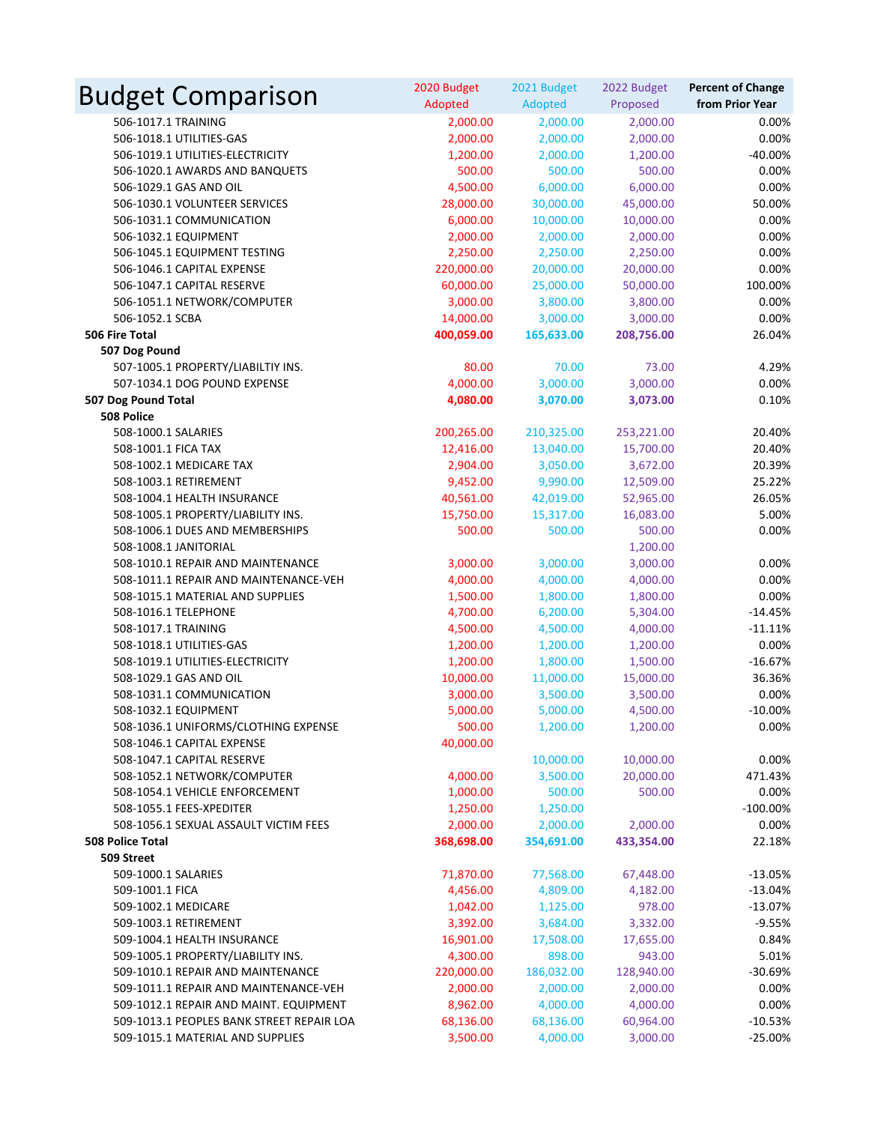| <b>Budget Comparison</b>                  | 2020 Budget<br>Adopted | 2021 Budget<br>Adopted | 2022 Budget<br>Proposed | <b>Percent of Change</b><br>from Prior Year |
|-------------------------------------------|------------------------|------------------------|-------------------------|---------------------------------------------|
| 506-1017.1 TRAINING                       | 2,000.00               | 2,000.00               | 2,000.00                | 0.00%                                       |
| 506-1018.1 UTILITIES-GAS                  | 2,000.00               | 2,000.00               | 2,000.00                | 0.00%                                       |
| 506-1019.1 UTILITIES-ELECTRICITY          | 1,200.00               | 2,000.00               | 1,200.00                | $-40.00%$                                   |
| 506-1020.1 AWARDS AND BANQUETS            | 500.00                 | 500.00                 | 500.00                  | 0.00%                                       |
| 506-1029.1 GAS AND OIL                    | 4,500.00               | 6,000.00               | 6,000.00                | 0.00%                                       |
| 506-1030.1 VOLUNTEER SERVICES             | 28,000.00              | 30,000.00              | 45,000.00               | 50.00%                                      |
| 506-1031.1 COMMUNICATION                  | 6,000.00               | 10,000.00              | 10,000.00               | 0.00%                                       |
| 506-1032.1 EQUIPMENT                      | 2,000.00               | 2,000.00               | 2,000.00                | 0.00%                                       |
| 506-1045.1 EQUIPMENT TESTING              | 2,250.00               | 2,250.00               | 2,250.00                | 0.00%                                       |
| 506-1046.1 CAPITAL EXPENSE                | 220,000.00             | 20,000.00              | 20,000.00               | 0.00%                                       |
| 506-1047.1 CAPITAL RESERVE                | 60,000.00              | 25,000.00              | 50,000.00               | 100.00%                                     |
| 506-1051.1 NETWORK/COMPUTER               | 3,000.00               | 3,800.00               | 3,800.00                | 0.00%                                       |
| 506-1052.1 SCBA                           | 14,000.00              | 3,000.00               | 3,000.00                | 0.00%                                       |
| 506 Fire Total                            | 400,059.00             | 165,633.00             | 208,756.00              | 26.04%                                      |
| 507 Dog Pound                             |                        |                        |                         |                                             |
| 507-1005.1 PROPERTY/LIABILTIY INS.        | 80.00                  | 70.00                  | 73.00                   | 4.29%                                       |
| 507-1034.1 DOG POUND EXPENSE              | 4,000.00               | 3,000.00               | 3,000.00                | 0.00%                                       |
| 507 Dog Pound Total                       | 4,080.00               | 3,070.00               | 3,073.00                | 0.10%                                       |
| 508 Police                                |                        |                        |                         |                                             |
| 508-1000.1 SALARIES                       | 200,265.00             | 210,325.00             | 253,221.00              | 20.40%                                      |
| 508-1001.1 FICA TAX                       | 12,416.00              | 13,040.00              | 15,700.00               | 20.40%                                      |
| 508-1002.1 MEDICARE TAX                   | 2,904.00               | 3,050.00               | 3,672.00                | 20.39%                                      |
| 508-1003.1 RETIREMENT                     | 9,452.00               | 9,990.00               | 12,509.00               | 25.22%                                      |
| 508-1004.1 HEALTH INSURANCE               | 40,561.00              | 42,019.00              | 52,965.00               | 26.05%                                      |
| 508-1005.1 PROPERTY/LIABILITY INS.        | 15,750.00              | 15,317.00              | 16,083.00               | 5.00%                                       |
| 508-1006.1 DUES AND MEMBERSHIPS           | 500.00                 | 500.00                 | 500.00                  | 0.00%                                       |
| 508-1008.1 JANITORIAL                     |                        |                        | 1,200.00                |                                             |
| 508-1010.1 REPAIR AND MAINTENANCE         | 3,000.00               | 3,000.00               | 3,000.00                | 0.00%                                       |
| 508-1011.1 REPAIR AND MAINTENANCE-VEH     | 4,000.00               | 4,000.00               | 4,000.00                | 0.00%                                       |
| 508-1015.1 MATERIAL AND SUPPLIES          | 1,500.00               | 1,800.00               | 1,800.00                | 0.00%                                       |
| 508-1016.1 TELEPHONE                      | 4,700.00               | 6,200.00               | 5,304.00                | $-14.45%$                                   |
| 508-1017.1 TRAINING                       | 4,500.00               | 4,500.00               | 4,000.00                | $-11.11%$                                   |
| 508-1018.1 UTILITIES-GAS                  | 1,200.00               | 1,200.00               | 1,200.00                | 0.00%                                       |
| 508-1019.1 UTILITIES-ELECTRICITY          | 1,200.00               | 1,800.00               | 1,500.00                | $-16.67%$                                   |
| 508-1029.1 GAS AND OIL                    | 10,000.00              | 11,000.00              | 15,000.00               | 36.36%                                      |
| 508-1031.1 COMMUNICATION                  | 3,000.00               | 3,500.00               | 3,500.00                | 0.00%                                       |
| 508-1032.1 EQUIPMENT                      | 5.000.00               | 5,000.00               | 4,500.00                | $-10.00%$                                   |
| 508-1036.1 UNIFORMS/CLOTHING EXPENSE      | 500.00                 | 1,200.00               | 1,200.00                | 0.00%                                       |
| 508-1046.1 CAPITAL EXPENSE                | 40,000.00              |                        |                         |                                             |
| 508-1047.1 CAPITAL RESERVE                |                        | 10,000.00              | 10,000.00               | 0.00%                                       |
| 508-1052.1 NETWORK/COMPUTER               | 4,000.00               | 3,500.00               | 20,000.00               | 471.43%                                     |
| 508-1054.1 VEHICLE ENFORCEMENT            | 1,000.00               | 500.00                 | 500.00                  | 0.00%                                       |
| 508-1055.1 FEES-XPEDITER                  | 1,250.00               | 1,250.00               |                         | $-100.00\%$                                 |
| 508-1056.1 SEXUAL ASSAULT VICTIM FEES     | 2,000.00               | 2,000.00               | 2,000.00                | 0.00%                                       |
| <b>508 Police Total</b>                   | 368,698.00             | 354,691.00             | 433,354.00              | 22.18%                                      |
| 509 Street                                |                        |                        |                         |                                             |
| 509-1000.1 SALARIES                       | 71,870.00              | 77,568.00              | 67,448.00               | $-13.05%$                                   |
| 509-1001.1 FICA                           | 4,456.00               | 4,809.00               | 4,182.00                | $-13.04%$                                   |
| 509-1002.1 MEDICARE                       | 1,042.00               | 1,125.00               | 978.00                  | $-13.07%$                                   |
| 509-1003.1 RETIREMENT                     | 3,392.00               | 3,684.00               | 3,332.00                | $-9.55%$                                    |
| 509-1004.1 HEALTH INSURANCE               | 16,901.00              | 17,508.00              | 17,655.00               | 0.84%                                       |
| 509-1005.1 PROPERTY/LIABILITY INS.        | 4,300.00               | 898.00                 | 943.00                  | 5.01%                                       |
| 509-1010.1 REPAIR AND MAINTENANCE         | 220,000.00             | 186,032.00             | 128,940.00              | $-30.69%$                                   |
| 509-1011.1 REPAIR AND MAINTENANCE-VEH     | 2,000.00               | 2,000.00               | 2,000.00                | 0.00%                                       |
| 509-1012.1 REPAIR AND MAINT. EQUIPMENT    | 8,962.00               | 4,000.00               | 4,000.00                | 0.00%                                       |
| 509-1013.1 PEOPLES BANK STREET REPAIR LOA | 68,136.00              | 68,136.00              | 60,964.00               | $-10.53%$                                   |
| 509-1015.1 MATERIAL AND SUPPLIES          | 3,500.00               | 4,000.00               | 3,000.00                | $-25.00%$                                   |
|                                           |                        |                        |                         |                                             |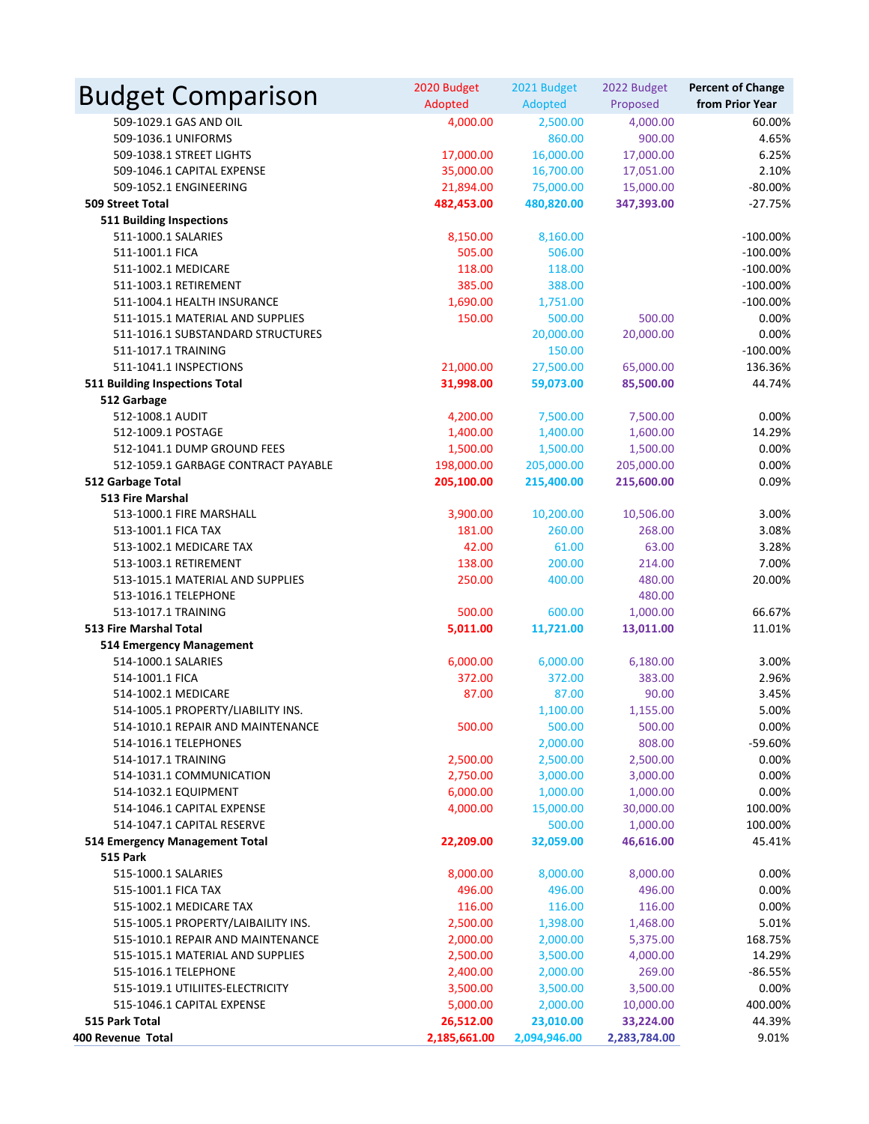| <b>Budget Comparison</b>               | 2020 Budget<br>Adopted | 2021 Budget<br>Adopted | 2022 Budget<br>Proposed | <b>Percent of Change</b><br>from Prior Year |
|----------------------------------------|------------------------|------------------------|-------------------------|---------------------------------------------|
| 509-1029.1 GAS AND OIL                 | 4,000.00               | 2,500.00               | 4,000.00                | 60.00%                                      |
| 509-1036.1 UNIFORMS                    |                        | 860.00                 | 900.00                  | 4.65%                                       |
| 509-1038.1 STREET LIGHTS               | 17,000.00              | 16,000.00              | 17,000.00               | 6.25%                                       |
| 509-1046.1 CAPITAL EXPENSE             | 35,000.00              | 16,700.00              | 17,051.00               | 2.10%                                       |
| 509-1052.1 ENGINEERING                 | 21,894.00              | 75,000.00              | 15,000.00               | $-80.00%$                                   |
| <b>509 Street Total</b>                | 482,453.00             | 480,820.00             | 347,393.00              | $-27.75%$                                   |
| <b>511 Building Inspections</b>        |                        |                        |                         |                                             |
| 511-1000.1 SALARIES                    | 8,150.00               | 8,160.00               |                         | $-100.00%$                                  |
| 511-1001.1 FICA                        | 505.00                 | 506.00                 |                         | $-100.00\%$                                 |
| 511-1002.1 MEDICARE                    | 118.00                 | 118.00                 |                         | $-100.00\%$                                 |
| 511-1003.1 RETIREMENT                  | 385.00                 | 388.00                 |                         | $-100.00%$                                  |
| 511-1004.1 HEALTH INSURANCE            | 1,690.00               | 1,751.00               |                         | $-100.00\%$                                 |
| 511-1015.1 MATERIAL AND SUPPLIES       | 150.00                 | 500.00                 | 500.00                  | 0.00%                                       |
| 511-1016.1 SUBSTANDARD STRUCTURES      |                        | 20,000.00              | 20,000.00               | 0.00%                                       |
| 511-1017.1 TRAINING                    |                        | 150.00                 |                         | $-100.00\%$                                 |
| 511-1041.1 INSPECTIONS                 | 21,000.00              | 27,500.00              | 65,000.00               | 136.36%                                     |
| 511 Building Inspections Total         | 31,998.00              | 59,073.00              | 85,500.00               | 44.74%                                      |
| 512 Garbage                            |                        |                        |                         |                                             |
| 512-1008.1 AUDIT                       | 4,200.00               | 7,500.00               | 7,500.00                | 0.00%                                       |
| 512-1009.1 POSTAGE                     | 1,400.00               | 1,400.00               | 1,600.00                | 14.29%                                      |
| 512-1041.1 DUMP GROUND FEES            | 1,500.00               | 1,500.00               | 1,500.00                | 0.00%                                       |
| 512-1059.1 GARBAGE CONTRACT PAYABLE    | 198,000.00             | 205,000.00             | 205,000.00              | 0.00%                                       |
| 512 Garbage Total                      | 205,100.00             | 215,400.00             | 215,600.00              | 0.09%                                       |
| <b>513 Fire Marshal</b>                |                        |                        |                         |                                             |
| 513-1000.1 FIRE MARSHALL               | 3,900.00               | 10,200.00              | 10,506.00               | 3.00%                                       |
| 513-1001.1 FICA TAX                    | 181.00                 | 260.00                 | 268.00                  | 3.08%                                       |
| 513-1002.1 MEDICARE TAX                | 42.00                  | 61.00                  | 63.00                   | 3.28%                                       |
| 513-1003.1 RETIREMENT                  | 138.00                 | 200.00                 | 214.00                  | 7.00%                                       |
| 513-1015.1 MATERIAL AND SUPPLIES       | 250.00                 | 400.00                 | 480.00                  | 20.00%                                      |
| 513-1016.1 TELEPHONE                   |                        |                        | 480.00                  |                                             |
| 513-1017.1 TRAINING                    | 500.00                 | 600.00                 | 1,000.00                | 66.67%                                      |
| <b>513 Fire Marshal Total</b>          | 5,011.00               | 11,721.00              | 13,011.00               | 11.01%                                      |
| 514 Emergency Management               |                        |                        |                         |                                             |
| 514-1000.1 SALARIES                    | 6,000.00<br>372.00     | 6,000.00<br>372.00     | 6,180.00                | 3.00%                                       |
| 514-1001.1 FICA<br>514-1002.1 MEDICARE | 87.00                  | 87.00                  | 383.00<br>90.00         | 2.96%<br>3.45%                              |
| 514-1005.1 PROPERTY/LIABILITY INS.     |                        |                        | 1,155.00                | 5.00%                                       |
| 514-1010.1 REPAIR AND MAINTENANCE      | 500.00                 | 1,100.00<br>500.00     | 500.00                  | 0.00%                                       |
| 514-1016.1 TELEPHONES                  |                        | 2,000.00               | 808.00                  | -59.60%                                     |
| 514-1017.1 TRAINING                    | 2,500.00               | 2,500.00               | 2,500.00                | 0.00%                                       |
| 514-1031.1 COMMUNICATION               | 2,750.00               | 3,000.00               | 3,000.00                | 0.00%                                       |
| 514-1032.1 EQUIPMENT                   | 6,000.00               | 1,000.00               | 1,000.00                | 0.00%                                       |
| 514-1046.1 CAPITAL EXPENSE             | 4,000.00               | 15,000.00              | 30,000.00               | 100.00%                                     |
| 514-1047.1 CAPITAL RESERVE             |                        | 500.00                 | 1,000.00                | 100.00%                                     |
| 514 Emergency Management Total         | 22,209.00              | 32,059.00              | 46,616.00               | 45.41%                                      |
| <b>515 Park</b>                        |                        |                        |                         |                                             |
| 515-1000.1 SALARIES                    | 8,000.00               | 8,000.00               | 8,000.00                | 0.00%                                       |
| 515-1001.1 FICA TAX                    | 496.00                 | 496.00                 | 496.00                  | 0.00%                                       |
| 515-1002.1 MEDICARE TAX                | 116.00                 | 116.00                 | 116.00                  | 0.00%                                       |
| 515-1005.1 PROPERTY/LAIBAILITY INS.    | 2,500.00               | 1,398.00               | 1,468.00                | 5.01%                                       |
| 515-1010.1 REPAIR AND MAINTENANCE      | 2,000.00               | 2,000.00               | 5,375.00                | 168.75%                                     |
| 515-1015.1 MATERIAL AND SUPPLIES       | 2,500.00               | 3,500.00               | 4,000.00                | 14.29%                                      |
| 515-1016.1 TELEPHONE                   | 2,400.00               | 2,000.00               | 269.00                  | $-86.55%$                                   |
| 515-1019.1 UTILIITES-ELECTRICITY       | 3,500.00               | 3,500.00               | 3,500.00                | 0.00%                                       |
| 515-1046.1 CAPITAL EXPENSE             | 5,000.00               | 2,000.00               | 10,000.00               | 400.00%                                     |
| 515 Park Total                         | 26,512.00              | 23,010.00              | 33,224.00               | 44.39%                                      |
| 400 Revenue Total                      | 2,185,661.00           | 2,094,946.00           | 2,283,784.00            | 9.01%                                       |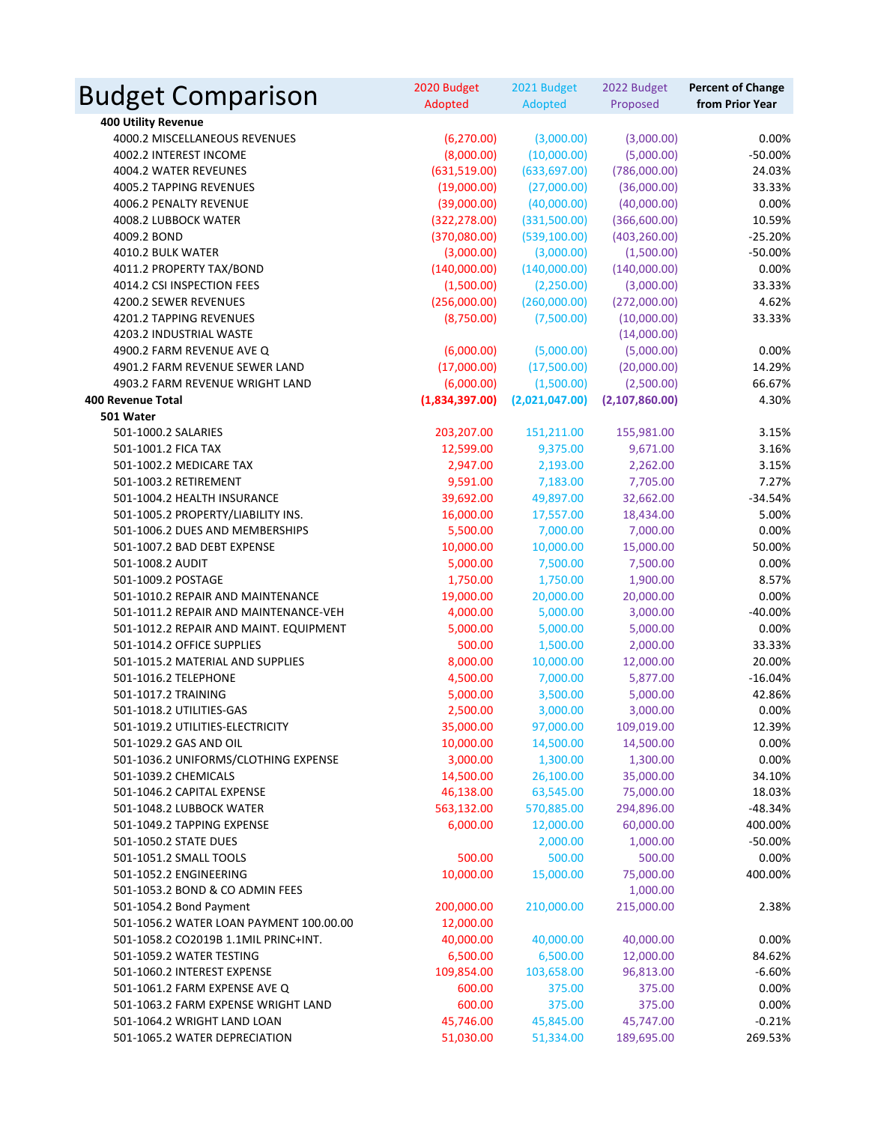| <b>Budget Comparison</b>                | 2020 Budget<br>Adopted | 2021 Budget<br>Adopted | 2022 Budget<br>Proposed | <b>Percent of Change</b><br>from Prior Year |
|-----------------------------------------|------------------------|------------------------|-------------------------|---------------------------------------------|
| <b>400 Utility Revenue</b>              |                        |                        |                         |                                             |
| 4000.2 MISCELLANEOUS REVENUES           | (6, 270.00)            | (3,000.00)             | (3,000.00)              | 0.00%                                       |
| 4002.2 INTEREST INCOME                  | (8,000.00)             | (10,000.00)            | (5,000.00)              | $-50.00%$                                   |
| 4004.2 WATER REVEUNES                   | (631,519.00)           | (633, 697.00)          | (786,000.00)            | 24.03%                                      |
| 4005.2 TAPPING REVENUES                 | (19,000.00)            | (27,000.00)            | (36,000.00)             | 33.33%                                      |
| 4006.2 PENALTY REVENUE                  | (39,000.00)            | (40,000.00)            | (40,000.00)             | 0.00%                                       |
| 4008.2 LUBBOCK WATER                    | (322, 278.00)          | (331,500.00)           | (366,600.00)            | 10.59%                                      |
| 4009.2 BOND                             | (370,080.00)           | (539, 100.00)          | (403, 260.00)           | $-25.20%$                                   |
| 4010.2 BULK WATER                       | (3,000.00)             | (3,000.00)             | (1,500.00)              | $-50.00%$                                   |
| 4011.2 PROPERTY TAX/BOND                | (140,000.00)           | (140,000.00)           | (140,000.00)            | 0.00%                                       |
| 4014.2 CSI INSPECTION FEES              | (1,500.00)             | (2,250.00)             | (3,000.00)              | 33.33%                                      |
| 4200.2 SEWER REVENUES                   | (256,000.00)           | (260,000.00)           | (272,000.00)            | 4.62%                                       |
| 4201.2 TAPPING REVENUES                 | (8,750.00)             | (7,500.00)             | (10,000.00)             | 33.33%                                      |
| 4203.2 INDUSTRIAL WASTE                 |                        |                        | (14,000.00)             |                                             |
| 4900.2 FARM REVENUE AVE Q               | (6,000.00)             | (5,000.00)             | (5,000.00)              | 0.00%                                       |
| 4901.2 FARM REVENUE SEWER LAND          | (17,000.00)            | (17,500.00)            | (20,000.00)             | 14.29%                                      |
| 4903.2 FARM REVENUE WRIGHT LAND         | (6,000.00)             | (1,500.00)             | (2,500.00)              | 66.67%                                      |
| <b>400 Revenue Total</b>                | (1,834,397.00)         | (2,021,047.00)         | (2, 107, 860.00)        | 4.30%                                       |
| 501 Water                               |                        |                        |                         |                                             |
| 501-1000.2 SALARIES                     | 203,207.00             | 151,211.00             | 155,981.00              | 3.15%                                       |
| 501-1001.2 FICA TAX                     | 12,599.00              | 9,375.00               | 9,671.00                | 3.16%                                       |
| 501-1002.2 MEDICARE TAX                 | 2,947.00               | 2,193.00               |                         | 3.15%                                       |
| 501-1003.2 RETIREMENT                   |                        |                        | 2,262.00                | 7.27%                                       |
| 501-1004.2 HEALTH INSURANCE             | 9,591.00               | 7,183.00               | 7,705.00                | $-34.54%$                                   |
| 501-1005.2 PROPERTY/LIABILITY INS.      | 39,692.00<br>16,000.00 | 49,897.00<br>17,557.00 | 32,662.00               | 5.00%                                       |
| 501-1006.2 DUES AND MEMBERSHIPS         |                        |                        | 18,434.00               |                                             |
|                                         | 5,500.00               | 7,000.00               | 7,000.00                | 0.00%                                       |
| 501-1007.2 BAD DEBT EXPENSE             | 10,000.00              | 10,000.00              | 15,000.00               | 50.00%                                      |
| 501-1008.2 AUDIT                        | 5,000.00               | 7,500.00               | 7,500.00                | 0.00%                                       |
| 501-1009.2 POSTAGE                      | 1,750.00               | 1,750.00               | 1,900.00                | 8.57%                                       |
| 501-1010.2 REPAIR AND MAINTENANCE       | 19,000.00              | 20,000.00              | 20,000.00               | 0.00%                                       |
| 501-1011.2 REPAIR AND MAINTENANCE-VEH   | 4,000.00               | 5,000.00               | 3,000.00                | $-40.00%$                                   |
| 501-1012.2 REPAIR AND MAINT. EQUIPMENT  | 5,000.00               | 5,000.00               | 5,000.00                | 0.00%                                       |
| 501-1014.2 OFFICE SUPPLIES              | 500.00                 | 1,500.00               | 2,000.00                | 33.33%                                      |
| 501-1015.2 MATERIAL AND SUPPLIES        | 8,000.00               | 10,000.00              | 12,000.00               | 20.00%                                      |
| 501-1016.2 TELEPHONE                    | 4,500.00               | 7,000.00               | 5,877.00                | $-16.04%$                                   |
| 501-1017.2 TRAINING                     | 5,000.00               | 3,500.00               | 5,000.00                | 42.86%                                      |
| 501-1018.2 UTILITIES-GAS                | 2,500.00               | 3,000.00               | 3,000.00                | 0.00%                                       |
| 501-1019.2 UTILITIES-ELECTRICITY        | 35,000.00              | 97,000.00              | 109,019.00              | 12.39%                                      |
| 501-1029.2 GAS AND OIL                  | 10,000.00              | 14,500.00              | 14,500.00               | 0.00%                                       |
| 501-1036.2 UNIFORMS/CLOTHING EXPENSE    | 3,000.00               | 1,300.00               | 1,300.00                | 0.00%                                       |
| 501-1039.2 CHEMICALS                    | 14,500.00              | 26,100.00              | 35,000.00               | 34.10%                                      |
| 501-1046.2 CAPITAL EXPENSE              | 46,138.00              | 63,545.00              | 75,000.00               | 18.03%                                      |
| 501-1048.2 LUBBOCK WATER                | 563,132.00             | 570,885.00             | 294,896.00              | $-48.34%$                                   |
| 501-1049.2 TAPPING EXPENSE              | 6,000.00               | 12,000.00              | 60,000.00               | 400.00%                                     |
| 501-1050.2 STATE DUES                   |                        | 2,000.00               | 1,000.00                | $-50.00%$                                   |
| 501-1051.2 SMALL TOOLS                  | 500.00                 | 500.00                 | 500.00                  | 0.00%                                       |
| 501-1052.2 ENGINEERING                  | 10,000.00              | 15,000.00              | 75,000.00               | 400.00%                                     |
| 501-1053.2 BOND & CO ADMIN FEES         |                        |                        | 1,000.00                |                                             |
| 501-1054.2 Bond Payment                 | 200,000.00             | 210,000.00             | 215,000.00              | 2.38%                                       |
| 501-1056.2 WATER LOAN PAYMENT 100.00.00 | 12,000.00              |                        |                         |                                             |
| 501-1058.2 CO2019B 1.1MIL PRINC+INT.    | 40,000.00              | 40,000.00              | 40,000.00               | 0.00%                                       |
| 501-1059.2 WATER TESTING                | 6,500.00               | 6,500.00               | 12,000.00               | 84.62%                                      |
| 501-1060.2 INTEREST EXPENSE             | 109,854.00             | 103,658.00             | 96,813.00               | $-6.60%$                                    |
| 501-1061.2 FARM EXPENSE AVE Q           | 600.00                 | 375.00                 | 375.00                  | 0.00%                                       |
| 501-1063.2 FARM EXPENSE WRIGHT LAND     | 600.00                 | 375.00                 | 375.00                  | 0.00%                                       |
| 501-1064.2 WRIGHT LAND LOAN             | 45,746.00              | 45,845.00              | 45,747.00               | $-0.21%$                                    |
| 501-1065.2 WATER DEPRECIATION           | 51,030.00              | 51,334.00              | 189,695.00              | 269.53%                                     |